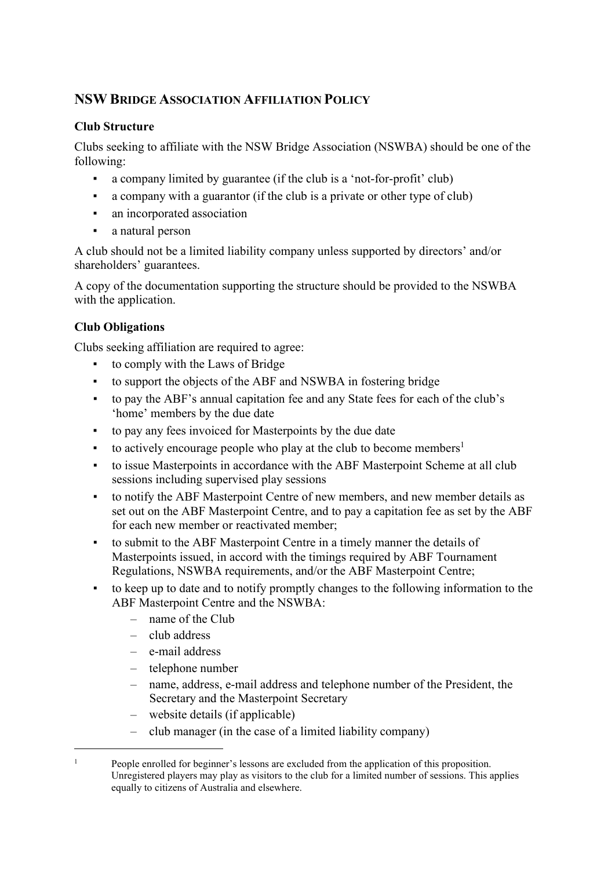# **NSW BRIDGE ASSOCIATION AFFILIATION POLICY**

#### **Club Structure**

Clubs seeking to affiliate with the NSW Bridge Association (NSWBA) should be one of the following:

- a company limited by guarantee (if the club is a 'not-for-profit' club)
- a company with a guarantor (if the club is a private or other type of club)
- an incorporated association
- a natural person

A club should not be a limited liability company unless supported by directors' and/or shareholders' guarantees.

A copy of the documentation supporting the structure should be provided to the NSWBA with the application.

# **Club Obligations**

Clubs seeking affiliation are required to agree:

- to comply with the Laws of Bridge
- to support the objects of the ABF and NSWBA in fostering bridge
- to pay the ABF's annual capitation fee and any State fees for each of the club's 'home' members by the due date
- to pay any fees invoiced for Masterpoints by the due date
- $\bullet$  to actively encourage people who play at the club to become members<sup>[1](#page-0-0)</sup>
- to issue Masterpoints in accordance with the ABF Masterpoint Scheme at all club sessions including supervised play sessions
- to notify the ABF Masterpoint Centre of new members, and new member details as set out on the ABF Masterpoint Centre, and to pay a capitation fee as set by the ABF for each new member or reactivated member;
- to submit to the ABF Masterpoint Centre in a timely manner the details of Masterpoints issued, in accord with the timings required by ABF Tournament Regulations, NSWBA requirements, and/or the ABF Masterpoint Centre;
- to keep up to date and to notify promptly changes to the following information to the ABF Masterpoint Centre and the NSWBA:
	- name of the Club
	- club address
	- e-mail address
	- telephone number
	- name, address, e-mail address and telephone number of the President, the Secretary and the Masterpoint Secretary
	- website details (if applicable)
	- club manager (in the case of a limited liability company)

<span id="page-0-0"></span><sup>&</sup>lt;sup>1</sup> People enrolled for beginner's lessons are excluded from the application of this proposition. Unregistered players may play as visitors to the club for a limited number of sessions. This applies equally to citizens of Australia and elsewhere.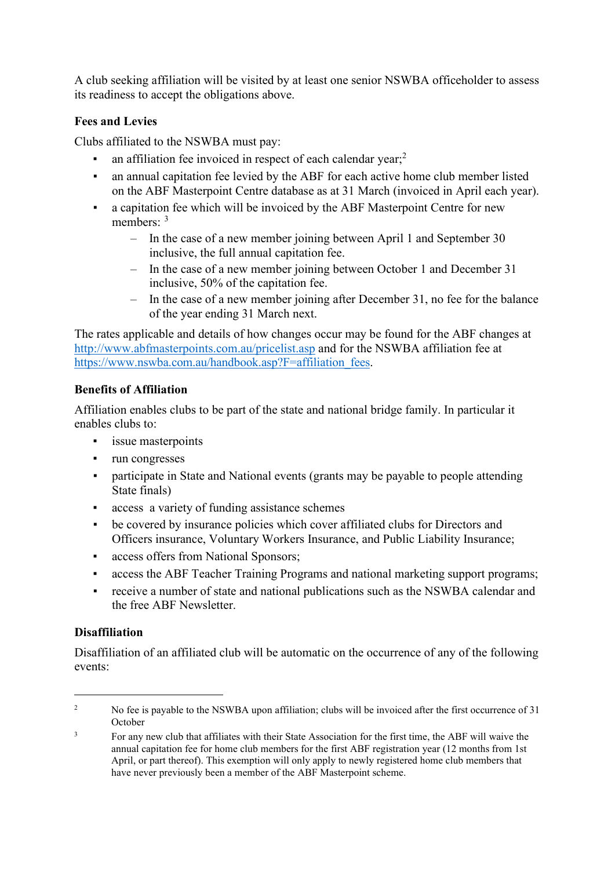A club seeking affiliation will be visited by at least one senior NSWBA officeholder to assess its readiness to accept the obligations above.

### **Fees and Levies**

Clubs affiliated to the NSWBA must pay:

- an affiliation fee invoiced in respect of each calendar year;<sup>[2](#page-1-0)</sup>
- an annual capitation fee levied by the ABF for each active home club member listed on the ABF Masterpoint Centre database as at 31 March (invoiced in April each year).
- a capitation fee which will be invoiced by the ABF Masterpoint Centre for new members: <sup>[3](#page-1-1)</sup>
	- In the case of a new member joining between April 1 and September 30 inclusive, the full annual capitation fee.
	- In the case of a new member joining between October 1 and December 31 inclusive, 50% of the capitation fee.
	- In the case of a new member joining after December 31, no fee for the balance of the year ending 31 March next.

The rates applicable and details of how changes occur may be found for the ABF changes at <http://www.abfmasterpoints.com.au/pricelist.asp> and for the NSWBA affiliation fee at [https://www.nswba.com.au/handbook.asp?F=affiliation\\_fees.](https://www.nswba.com.au/handbook.asp?F=affiliation_fees)

#### **Benefits of Affiliation**

Affiliation enables clubs to be part of the state and national bridge family. In particular it enables clubs to:

- issue masterpoints
- run congresses
- participate in State and National events (grants may be payable to people attending State finals)
- access a variety of funding assistance schemes
- be covered by insurance policies which cover affiliated clubs for Directors and Officers insurance, Voluntary Workers Insurance, and Public Liability Insurance;
- access offers from National Sponsors;
- access the ABF Teacher Training Programs and national marketing support programs;
- receive a number of state and national publications such as the NSWBA calendar and the free ABF Newsletter.

### **Disaffiliation**

Disaffiliation of an affiliated club will be automatic on the occurrence of any of the following events:

<span id="page-1-0"></span><sup>&</sup>lt;sup>2</sup> No fee is payable to the NSWBA upon affiliation; clubs will be invoiced after the first occurrence of 31 October

<span id="page-1-1"></span><sup>&</sup>lt;sup>3</sup> For any new club that affiliates with their State Association for the first time, the ABF will waive the annual capitation fee for home club members for the first ABF registration year (12 months from 1st April, or part thereof). This exemption will only apply to newly registered home club members that have never previously been a member of the ABF Masterpoint scheme.